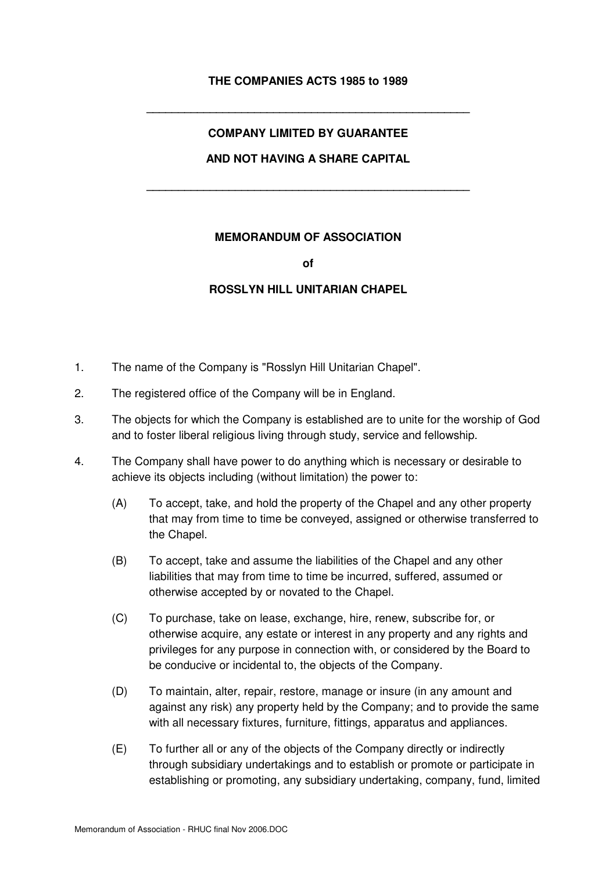## **THE COMPANIES ACTS 1985 to 1989**

**\_\_\_\_\_\_\_\_\_\_\_\_\_\_\_\_\_\_\_\_\_\_\_\_\_\_\_\_\_\_\_\_\_\_\_\_\_\_\_\_\_\_\_\_\_\_\_\_\_\_\_**

# **COMPANY LIMITED BY GUARANTEE AND NOT HAVING A SHARE CAPITAL**

**\_\_\_\_\_\_\_\_\_\_\_\_\_\_\_\_\_\_\_\_\_\_\_\_\_\_\_\_\_\_\_\_\_\_\_\_\_\_\_\_\_\_\_\_\_\_\_\_\_\_\_**

### **MEMORANDUM OF ASSOCIATION**

**of** 

### **ROSSLYN HILL UNITARIAN CHAPEL**

- 1. The name of the Company is "Rosslyn Hill Unitarian Chapel".
- 2. The registered office of the Company will be in England.
- 3. The objects for which the Company is established are to unite for the worship of God and to foster liberal religious living through study, service and fellowship.
- 4. The Company shall have power to do anything which is necessary or desirable to achieve its objects including (without limitation) the power to:
	- (A) To accept, take, and hold the property of the Chapel and any other property that may from time to time be conveyed, assigned or otherwise transferred to the Chapel.
	- (B) To accept, take and assume the liabilities of the Chapel and any other liabilities that may from time to time be incurred, suffered, assumed or otherwise accepted by or novated to the Chapel.
	- (C) To purchase, take on lease, exchange, hire, renew, subscribe for, or otherwise acquire, any estate or interest in any property and any rights and privileges for any purpose in connection with, or considered by the Board to be conducive or incidental to, the objects of the Company.
	- (D) To maintain, alter, repair, restore, manage or insure (in any amount and against any risk) any property held by the Company; and to provide the same with all necessary fixtures, furniture, fittings, apparatus and appliances.
	- (E) To further all or any of the objects of the Company directly or indirectly through subsidiary undertakings and to establish or promote or participate in establishing or promoting, any subsidiary undertaking, company, fund, limited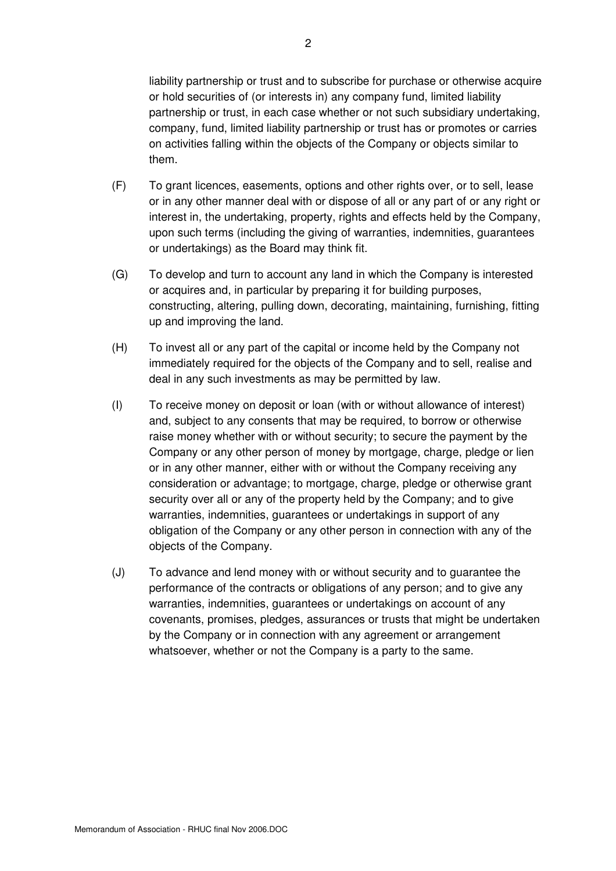liability partnership or trust and to subscribe for purchase or otherwise acquire or hold securities of (or interests in) any company fund, limited liability partnership or trust, in each case whether or not such subsidiary undertaking, company, fund, limited liability partnership or trust has or promotes or carries on activities falling within the objects of the Company or objects similar to them.

- (F) To grant licences, easements, options and other rights over, or to sell, lease or in any other manner deal with or dispose of all or any part of or any right or interest in, the undertaking, property, rights and effects held by the Company, upon such terms (including the giving of warranties, indemnities, guarantees or undertakings) as the Board may think fit.
- (G) To develop and turn to account any land in which the Company is interested or acquires and, in particular by preparing it for building purposes, constructing, altering, pulling down, decorating, maintaining, furnishing, fitting up and improving the land.
- (H) To invest all or any part of the capital or income held by the Company not immediately required for the objects of the Company and to sell, realise and deal in any such investments as may be permitted by law.
- (I) To receive money on deposit or loan (with or without allowance of interest) and, subject to any consents that may be required, to borrow or otherwise raise money whether with or without security; to secure the payment by the Company or any other person of money by mortgage, charge, pledge or lien or in any other manner, either with or without the Company receiving any consideration or advantage; to mortgage, charge, pledge or otherwise grant security over all or any of the property held by the Company; and to give warranties, indemnities, guarantees or undertakings in support of any obligation of the Company or any other person in connection with any of the objects of the Company.
- (J) To advance and lend money with or without security and to guarantee the performance of the contracts or obligations of any person; and to give any warranties, indemnities, guarantees or undertakings on account of any covenants, promises, pledges, assurances or trusts that might be undertaken by the Company or in connection with any agreement or arrangement whatsoever, whether or not the Company is a party to the same.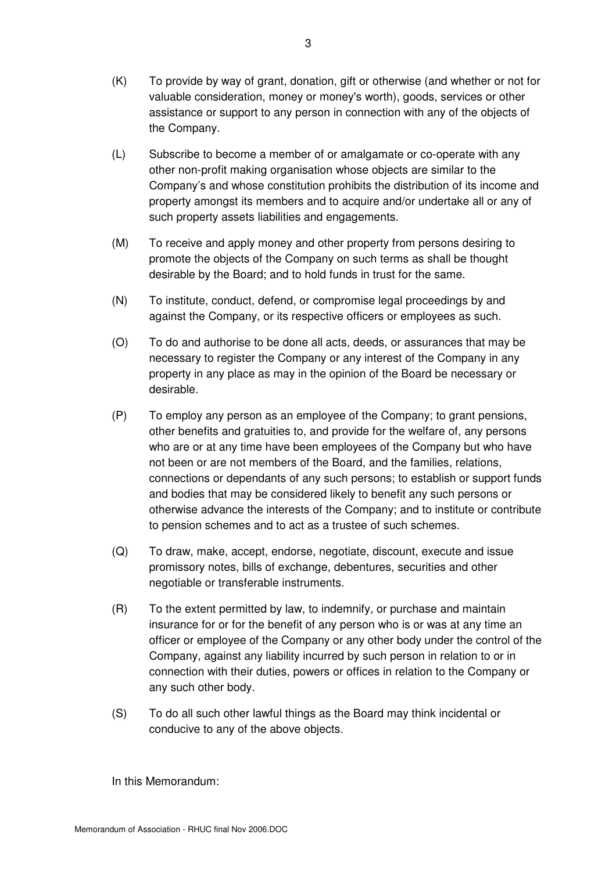- (K) To provide by way of grant, donation, gift or otherwise (and whether or not for valuable consideration, money or money's worth), goods, services or other assistance or support to any person in connection with any of the objects of the Company.
- (L) Subscribe to become a member of or amalgamate or co-operate with any other non-profit making organisation whose objects are similar to the Company's and whose constitution prohibits the distribution of its income and property amongst its members and to acquire and/or undertake all or any of such property assets liabilities and engagements.
- (M) To receive and apply money and other property from persons desiring to promote the objects of the Company on such terms as shall be thought desirable by the Board; and to hold funds in trust for the same.
- (N) To institute, conduct, defend, or compromise legal proceedings by and against the Company, or its respective officers or employees as such.
- (O) To do and authorise to be done all acts, deeds, or assurances that may be necessary to register the Company or any interest of the Company in any property in any place as may in the opinion of the Board be necessary or desirable.
- (P) To employ any person as an employee of the Company; to grant pensions, other benefits and gratuities to, and provide for the welfare of, any persons who are or at any time have been employees of the Company but who have not been or are not members of the Board, and the families, relations, connections or dependants of any such persons; to establish or support funds and bodies that may be considered likely to benefit any such persons or otherwise advance the interests of the Company; and to institute or contribute to pension schemes and to act as a trustee of such schemes.
- (Q) To draw, make, accept, endorse, negotiate, discount, execute and issue promissory notes, bills of exchange, debentures, securities and other negotiable or transferable instruments.
- (R) To the extent permitted by law, to indemnify, or purchase and maintain insurance for or for the benefit of any person who is or was at any time an officer or employee of the Company or any other body under the control of the Company, against any liability incurred by such person in relation to or in connection with their duties, powers or offices in relation to the Company or any such other body.
- (S) To do all such other lawful things as the Board may think incidental or conducive to any of the above objects.

In this Memorandum: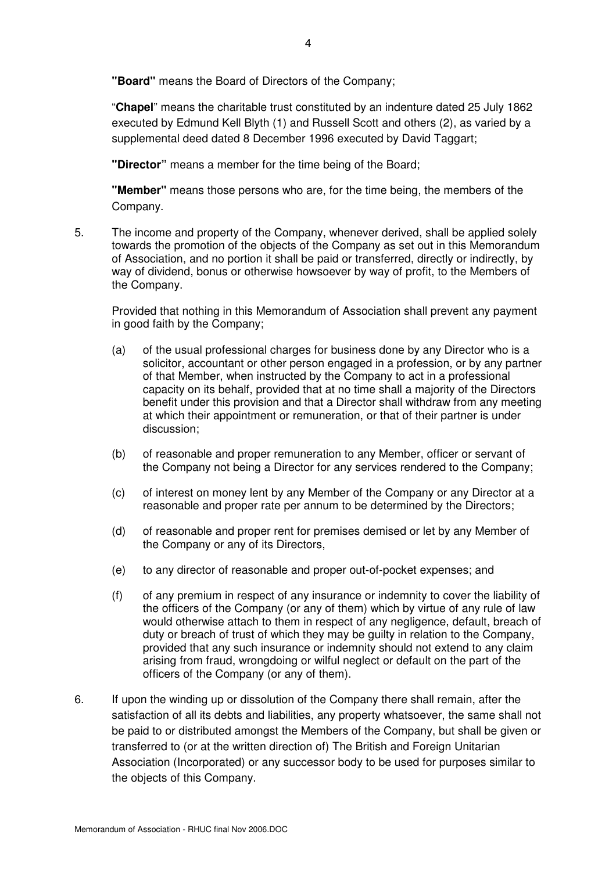**"Board"** means the Board of Directors of the Company;

"**Chapel**" means the charitable trust constituted by an indenture dated 25 July 1862 executed by Edmund Kell Blyth (1) and Russell Scott and others (2), as varied by a supplemental deed dated 8 December 1996 executed by David Taggart;

**"Director"** means a member for the time being of the Board;

**"Member"** means those persons who are, for the time being, the members of the Company.

5. The income and property of the Company, whenever derived, shall be applied solely towards the promotion of the objects of the Company as set out in this Memorandum of Association, and no portion it shall be paid or transferred, directly or indirectly, by way of dividend, bonus or otherwise howsoever by way of profit, to the Members of the Company.

Provided that nothing in this Memorandum of Association shall prevent any payment in good faith by the Company;

- (a) of the usual professional charges for business done by any Director who is a solicitor, accountant or other person engaged in a profession, or by any partner of that Member, when instructed by the Company to act in a professional capacity on its behalf, provided that at no time shall a majority of the Directors benefit under this provision and that a Director shall withdraw from any meeting at which their appointment or remuneration, or that of their partner is under discussion;
- (b) of reasonable and proper remuneration to any Member, officer or servant of the Company not being a Director for any services rendered to the Company;
- (c) of interest on money lent by any Member of the Company or any Director at a reasonable and proper rate per annum to be determined by the Directors;
- (d) of reasonable and proper rent for premises demised or let by any Member of the Company or any of its Directors,
- (e) to any director of reasonable and proper out-of-pocket expenses; and
- (f) of any premium in respect of any insurance or indemnity to cover the liability of the officers of the Company (or any of them) which by virtue of any rule of law would otherwise attach to them in respect of any negligence, default, breach of duty or breach of trust of which they may be guilty in relation to the Company, provided that any such insurance or indemnity should not extend to any claim arising from fraud, wrongdoing or wilful neglect or default on the part of the officers of the Company (or any of them).
- 6. If upon the winding up or dissolution of the Company there shall remain, after the satisfaction of all its debts and liabilities, any property whatsoever, the same shall not be paid to or distributed amongst the Members of the Company, but shall be given or transferred to (or at the written direction of) The British and Foreign Unitarian Association (Incorporated) or any successor body to be used for purposes similar to the objects of this Company.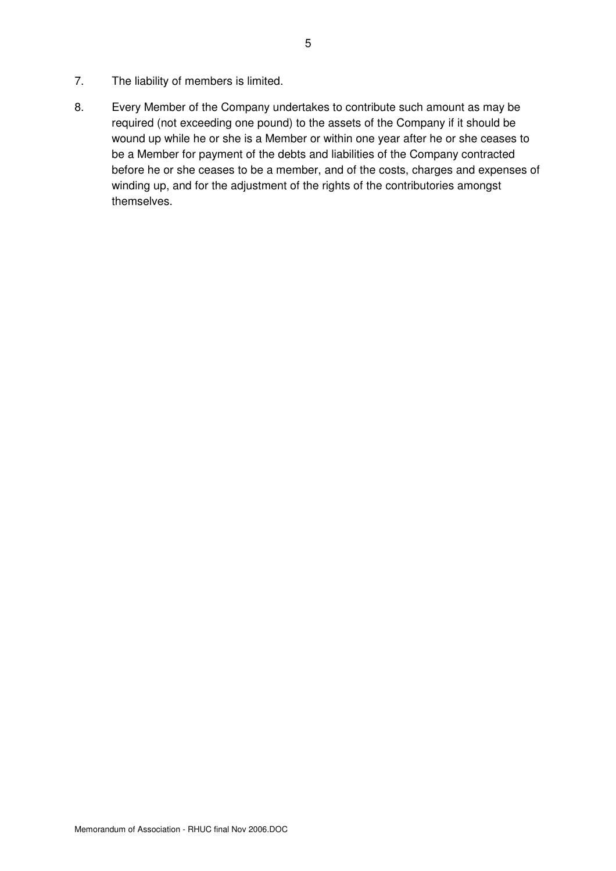- 7. The liability of members is limited.
- 8. Every Member of the Company undertakes to contribute such amount as may be required (not exceeding one pound) to the assets of the Company if it should be wound up while he or she is a Member or within one year after he or she ceases to be a Member for payment of the debts and liabilities of the Company contracted before he or she ceases to be a member, and of the costs, charges and expenses of winding up, and for the adjustment of the rights of the contributories amongst themselves.